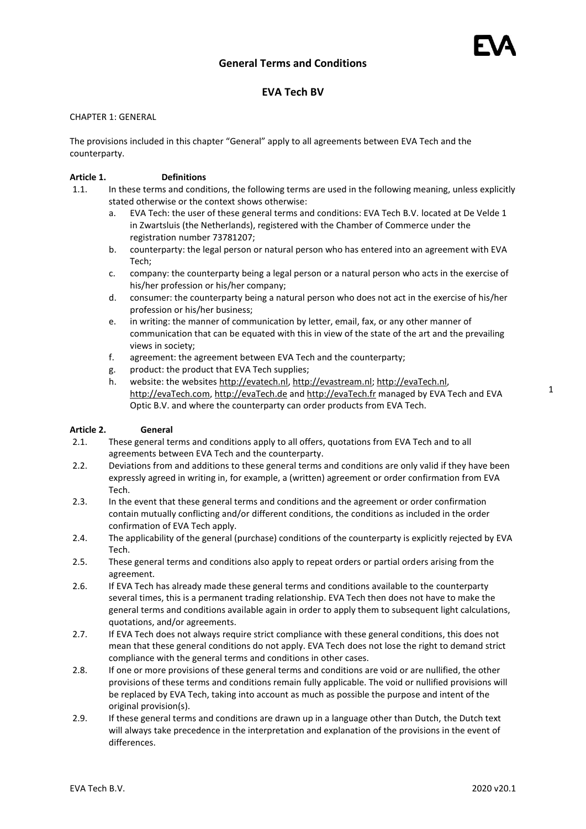# **EVA Tech BV**

### CHAPTER 1: GENERAL

The provisions included in this chapter "General" apply to all agreements between EVA Tech and the counterparty.

### **Article 1. Definitions**

- 1.1. In these terms and conditions, the following terms are used in the following meaning, unless explicitly stated otherwise or the context shows otherwise:
	- a. EVA Tech: the user of these general terms and conditions: EVA Tech B.V. located at De Velde 1 in Zwartsluis (the Netherlands), registered with the Chamber of Commerce under the registration number 73781207;
	- b. counterparty: the legal person or natural person who has entered into an agreement with EVA Tech;
	- c. company: the counterparty being a legal person or a natural person who acts in the exercise of his/her profession or his/her company;
	- d. consumer: the counterparty being a natural person who does not act in the exercise of his/her profession or his/her business;
	- e. in writing: the manner of communication by letter, email, fax, or any other manner of communication that can be equated with this in view of the state of the art and the prevailing views in society;
	- f. agreement: the agreement between EVA Tech and the counterparty;
	- g. product: the product that EVA Tech supplies;
	- h. website: the websites [http://evatech.nl,](http://evatech.nl/) [http://evastream.nl;](http://evastream.nl/) [http://evaTech.nl,](http://evaoptic.nl/) [http://evaTech.com,](http://evaoptic.com/) [http://evaTech.de](http://evaoptic.de/) and [http://evaTech.fr](http://evaoptic.fr/) managed by EVA Tech and EVA Optic B.V. and where the counterparty can order products from EVA Tech.

#### **Article 2. General**

- 2.1. These general terms and conditions apply to all offers, quotations from EVA Tech and to all agreements between EVA Tech and the counterparty.
- 2.2. Deviations from and additions to these general terms and conditions are only valid if they have been expressly agreed in writing in, for example, a (written) agreement or order confirmation from EVA Tech.
- 2.3. In the event that these general terms and conditions and the agreement or order confirmation contain mutually conflicting and/or different conditions, the conditions as included in the order confirmation of EVA Tech apply.
- 2.4. The applicability of the general (purchase) conditions of the counterparty is explicitly rejected by EVA Tech.
- 2.5. These general terms and conditions also apply to repeat orders or partial orders arising from the agreement.
- 2.6. If EVA Tech has already made these general terms and conditions available to the counterparty several times, this is a permanent trading relationship. EVA Tech then does not have to make the general terms and conditions available again in order to apply them to subsequent light calculations, quotations, and/or agreements.
- 2.7. If EVA Tech does not always require strict compliance with these general conditions, this does not mean that these general conditions do not apply. EVA Tech does not lose the right to demand strict compliance with the general terms and conditions in other cases.
- 2.8. If one or more provisions of these general terms and conditions are void or are nullified, the other provisions of these terms and conditions remain fully applicable. The void or nullified provisions will be replaced by EVA Tech, taking into account as much as possible the purpose and intent of the original provision(s).
- 2.9. If these general terms and conditions are drawn up in a language other than Dutch, the Dutch text will always take precedence in the interpretation and explanation of the provisions in the event of differences.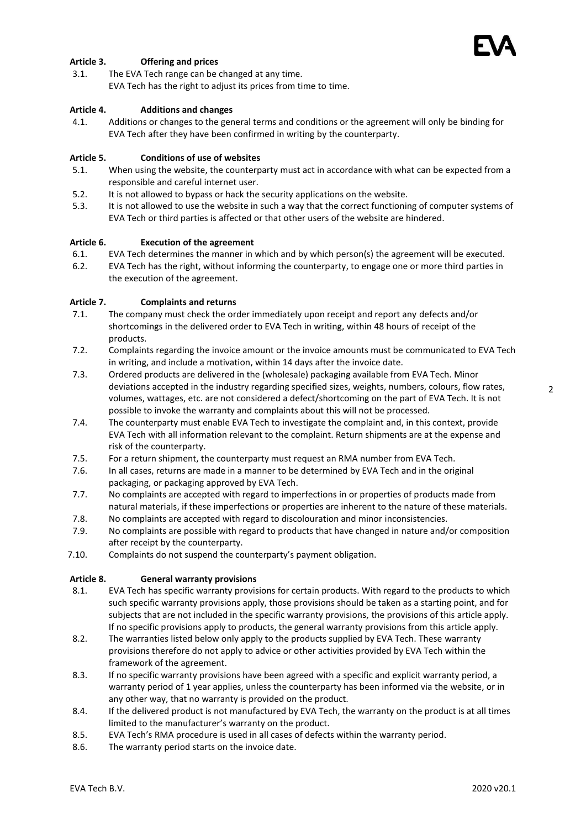

### **Article 3. Offering and prices**

3.1. The EVA Tech range can be changed at any time. EVA Tech has the right to adjust its prices from time to time.

### **Article 4. Additions and changes**

4.1. Additions or changes to the general terms and conditions or the agreement will only be binding for EVA Tech after they have been confirmed in writing by the counterparty.

### **Article 5. Conditions of use of websites**

- 5.1. When using the website, the counterparty must act in accordance with what can be expected from a responsible and careful internet user.
- 5.2. It is not allowed to bypass or hack the security applications on the website.
- 5.3. It is not allowed to use the website in such a way that the correct functioning of computer systems of EVA Tech or third parties is affected or that other users of the website are hindered.

#### **Article 6. Execution of the agreement**

- 6.1. EVA Tech determines the manner in which and by which person(s) the agreement will be executed.
- 6.2. EVA Tech has the right, without informing the counterparty, to engage one or more third parties in the execution of the agreement.

#### **Article 7. Complaints and returns**

- 7.1. The company must check the order immediately upon receipt and report any defects and/or shortcomings in the delivered order to EVA Tech in writing, within 48 hours of receipt of the products.
- 7.2. Complaints regarding the invoice amount or the invoice amounts must be communicated to EVA Tech in writing, and include a motivation, within 14 days after the invoice date.
- 7.3. Ordered products are delivered in the (wholesale) packaging available from EVA Tech. Minor deviations accepted in the industry regarding specified sizes, weights, numbers, colours, flow rates, volumes, wattages, etc. are not considered a defect/shortcoming on the part of EVA Tech. It is not possible to invoke the warranty and complaints about this will not be processed.
- 7.4. The counterparty must enable EVA Tech to investigate the complaint and, in this context, provide EVA Tech with all information relevant to the complaint. Return shipments are at the expense and risk of the counterparty.
- 7.5. For a return shipment, the counterparty must request an RMA number from EVA Tech.
- 7.6. In all cases, returns are made in a manner to be determined by EVA Tech and in the original packaging, or packaging approved by EVA Tech.
- 7.7. No complaints are accepted with regard to imperfections in or properties of products made from natural materials, if these imperfections or properties are inherent to the nature of these materials.
- 7.8. No complaints are accepted with regard to discolouration and minor inconsistencies.
- 7.9. No complaints are possible with regard to products that have changed in nature and/or composition after receipt by the counterparty.
- 7.10. Complaints do not suspend the counterparty's payment obligation.

### **Article 8. General warranty provisions**

- 8.1. EVA Tech has specific warranty provisions for certain products. With regard to the products to which such specific warranty provisions apply, those provisions should be taken as a starting point, and for subjects that are not included in the specific warranty provisions, the provisions of this article apply. If no specific provisions apply to products, the general warranty provisions from this article apply.
- 8.2. The warranties listed below only apply to the products supplied by EVA Tech. These warranty provisions therefore do not apply to advice or other activities provided by EVA Tech within the framework of the agreement.
- 8.3. If no specific warranty provisions have been agreed with a specific and explicit warranty period, a warranty period of 1 year applies, unless the counterparty has been informed via the website, or in any other way, that no warranty is provided on the product.
- 8.4. If the delivered product is not manufactured by EVA Tech, the warranty on the product is at all times limited to the manufacturer's warranty on the product.
- 8.5. EVA Tech's RMA procedure is used in all cases of defects within the warranty period.
- 8.6. The warranty period starts on the invoice date.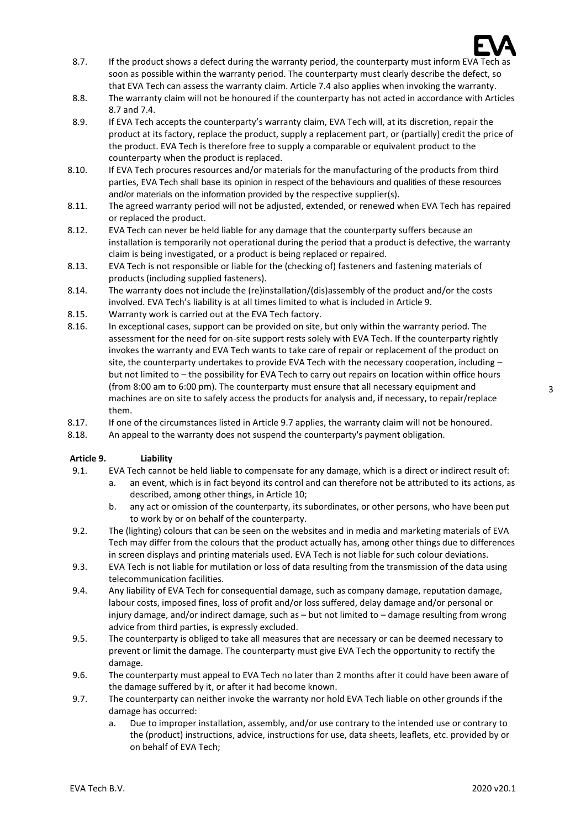

- 8.7. If the product shows a defect during the warranty period, the counterparty must inform EVA Tech as soon as possible within the warranty period. The counterparty must clearly describe the defect, so that EVA Tech can assess the warranty claim. Article 7.4 also applies when invoking the warranty.
- 8.8. The warranty claim will not be honoured if the counterparty has not acted in accordance with Articles 8.7 and 7.4.
- 8.9. If EVA Tech accepts the counterparty's warranty claim, EVA Tech will, at its discretion, repair the product at its factory, replace the product, supply a replacement part, or (partially) credit the price of the product. EVA Tech is therefore free to supply a comparable or equivalent product to the counterparty when the product is replaced.
- 8.10. If EVA Tech procures resources and/or materials for the manufacturing of the products from third parties, EVA Tech shall base its opinion in respect of the behaviours and qualities of these resources and/or materials on the information provided by the respective supplier(s).
- 8.11. The agreed warranty period will not be adjusted, extended, or renewed when EVA Tech has repaired or replaced the product.
- 8.12. EVA Tech can never be held liable for any damage that the counterparty suffers because an installation is temporarily not operational during the period that a product is defective, the warranty claim is being investigated, or a product is being replaced or repaired.
- 8.13. EVA Tech is not responsible or liable for the (checking of) fasteners and fastening materials of products (including supplied fasteners).
- 8.14. The warranty does not include the (re)installation/(dis)assembly of the product and/or the costs involved. EVA Tech's liability is at all times limited to what is included in Article 9.
- 8.15. Warranty work is carried out at the EVA Tech factory.
- 8.16. In exceptional cases, support can be provided on site, but only within the warranty period. The assessment for the need for on-site support rests solely with EVA Tech. If the counterparty rightly invokes the warranty and EVA Tech wants to take care of repair or replacement of the product on site, the counterparty undertakes to provide EVA Tech with the necessary cooperation, including  $$ but not limited to – the possibility for EVA Tech to carry out repairs on location within office hours (from 8:00 am to 6:00 pm). The counterparty must ensure that all necessary equipment and machines are on site to safely access the products for analysis and, if necessary, to repair/replace them.
- 8.17. If one of the circumstances listed in Article 9.7 applies, the warranty claim will not be honoured.
- 8.18. An appeal to the warranty does not suspend the counterparty's payment obligation.

#### **Article 9. Liability**

- 9.1. EVA Tech cannot be held liable to compensate for any damage, which is a direct or indirect result of: a. an event, which is in fact beyond its control and can therefore not be attributed to its actions, as
	- described, among other things, in Article 10; b. any act or omission of the counterparty, its subordinates, or other persons, who have been put to work by or on behalf of the counterparty.
- 9.2. The (lighting) colours that can be seen on the websites and in media and marketing materials of EVA Tech may differ from the colours that the product actually has, among other things due to differences in screen displays and printing materials used. EVA Tech is not liable for such colour deviations.
- 9.3. EVA Tech is not liable for mutilation or loss of data resulting from the transmission of the data using telecommunication facilities.
- 9.4. Any liability of EVA Tech for consequential damage, such as company damage, reputation damage, labour costs, imposed fines, loss of profit and/or loss suffered, delay damage and/or personal or injury damage, and/or indirect damage, such as – but not limited to – damage resulting from wrong advice from third parties, is expressly excluded.
- 9.5. The counterparty is obliged to take all measures that are necessary or can be deemed necessary to prevent or limit the damage. The counterparty must give EVA Tech the opportunity to rectify the damage.
- 9.6. The counterparty must appeal to EVA Tech no later than 2 months after it could have been aware of the damage suffered by it, or after it had become known.
- 9.7. The counterparty can neither invoke the warranty nor hold EVA Tech liable on other grounds if the damage has occurred:
	- a. Due to improper installation, assembly, and/or use contrary to the intended use or contrary to the (product) instructions, advice, instructions for use, data sheets, leaflets, etc. provided by or on behalf of EVA Tech;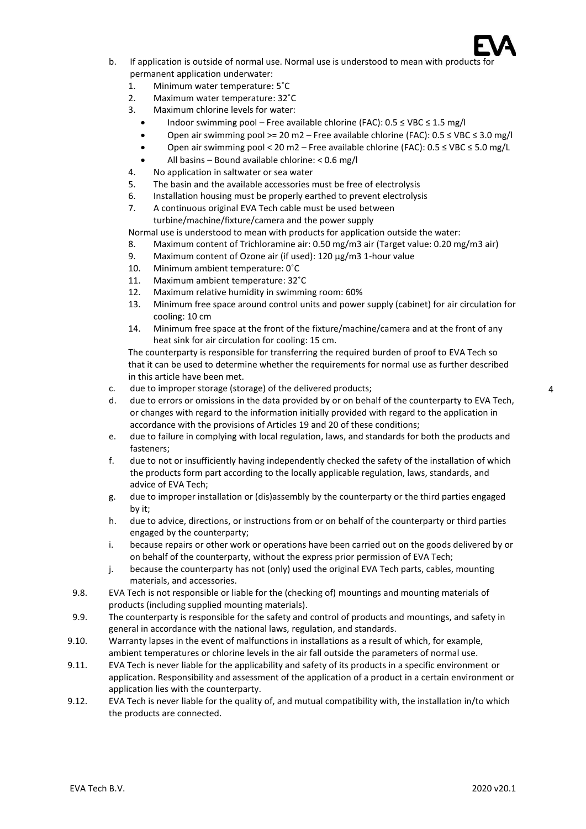

- b. If application is outside of normal use. Normal use is understood to mean with products for permanent application underwater:
	- 1. Minimum water temperature: 5˚C
	- 2. Maximum water temperature: 32˚C
	- 3. Maximum chlorine levels for water:
		- Indoor swimming pool Free available chlorine (FAC): 0.5 ≤ VBC ≤ 1.5 mg/l
		- Open air swimming pool >= 20 m2 Free available chlorine (FAC): 0.5 ≤ VBC ≤ 3.0 mg/l
		- Open air swimming pool < 20 m2 Free available chlorine (FAC): 0.5 ≤ VBC ≤ 5.0 mg/L
		- All basins Bound available chlorine: < 0.6 mg/l
	- 4. No application in saltwater or sea water
	- 5. The basin and the available accessories must be free of electrolysis
	- 6. Installation housing must be properly earthed to prevent electrolysis
	- 7. A continuous original EVA Tech cable must be used between
		- turbine/machine/fixture/camera and the power supply

Normal use is understood to mean with products for application outside the water:

- 8. Maximum content of Trichloramine air: 0.50 mg/m3 air (Target value: 0.20 mg/m3 air)
- 9. Maximum content of Ozone air (if used): 120 µg/m3 1-hour value
- 10. Minimum ambient temperature: 0˚C
- 11. Maximum ambient temperature: 32˚C
- 12. Maximum relative humidity in swimming room: 60%
- 13. Minimum free space around control units and power supply (cabinet) for air circulation for cooling: 10 cm
- 14. Minimum free space at the front of the fixture/machine/camera and at the front of any heat sink for air circulation for cooling: 15 cm.

The counterparty is responsible for transferring the required burden of proof to EVA Tech so that it can be used to determine whether the requirements for normal use as further described in this article have been met.

- c. due to improper storage (storage) of the delivered products;
- d. due to errors or omissions in the data provided by or on behalf of the counterparty to EVA Tech, or changes with regard to the information initially provided with regard to the application in accordance with the provisions of Articles 19 and 20 of these conditions;
- e. due to failure in complying with local regulation, laws, and standards for both the products and fasteners;
- f. due to not or insufficiently having independently checked the safety of the installation of which the products form part according to the locally applicable regulation, laws, standards, and advice of EVA Tech;
- g. due to improper installation or (dis)assembly by the counterparty or the third parties engaged by it;
- h. due to advice, directions, or instructions from or on behalf of the counterparty or third parties engaged by the counterparty;
- i. because repairs or other work or operations have been carried out on the goods delivered by or on behalf of the counterparty, without the express prior permission of EVA Tech;
- j. because the counterparty has not (only) used the original EVA Tech parts, cables, mounting materials, and accessories.
- 9.8. EVA Tech is not responsible or liable for the (checking of) mountings and mounting materials of products (including supplied mounting materials).
- 9.9. The counterparty is responsible for the safety and control of products and mountings, and safety in general in accordance with the national laws, regulation, and standards.
- 9.10. Warranty lapses in the event of malfunctions in installations as a result of which, for example, ambient temperatures or chlorine levels in the air fall outside the parameters of normal use.
- 9.11. EVA Tech is never liable for the applicability and safety of its products in a specific environment or application. Responsibility and assessment of the application of a product in a certain environment or application lies with the counterparty.
- 9.12. EVA Tech is never liable for the quality of, and mutual compatibility with, the installation in/to which the products are connected.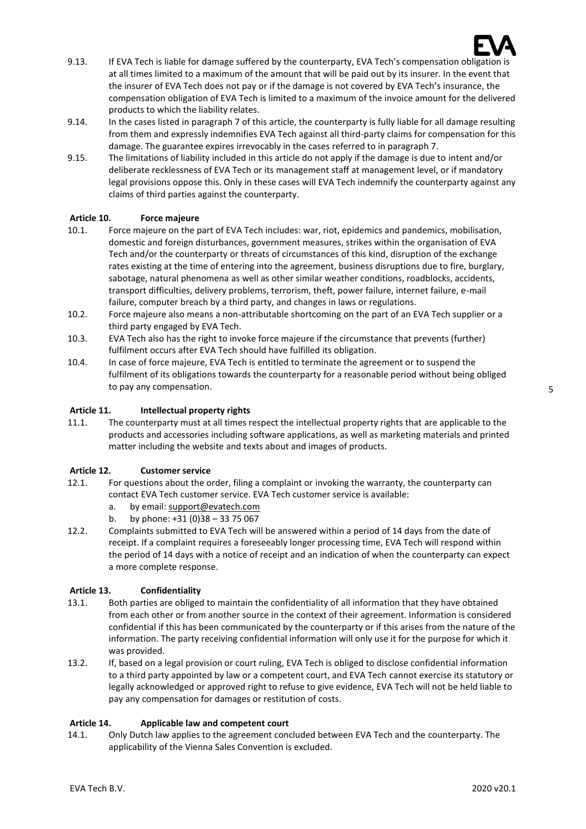

- 9.13. If EVA Tech is liable for damage suffered by the counterparty, EVA Tech's compensation obligation is at all times limited to a maximum of the amount that will be paid out by its insurer. In the event that the insurer of EVA Tech does not pay or if the damage is not covered by EVA Tech's insurance, the compensation obligation of EVA Tech is limited to a maximum of the invoice amount for the delivered products to which the liability relates.
- 9.14. In the cases listed in paragraph 7 of this article, the counterparty is fully liable for all damage resulting from them and expressly indemnifies EVA Tech against all third-party claims for compensation for this damage. The guarantee expires irrevocably in the cases referred to in paragraph 7.
- 9.15. The limitations of liability included in this article do not apply if the damage is due to intent and/or deliberate recklessness of EVA Tech or its management staff at management level, or if mandatory legal provisions oppose this. Only in these cases will EVA Tech indemnify the counterparty against any claims of third parties against the counterparty.

### **Article 10. Force majeure**

- 10.1. Force majeure on the part of EVA Tech includes: war, riot, epidemics and pandemics, mobilisation, domestic and foreign disturbances, government measures, strikes within the organisation of EVA Tech and/or the counterparty or threats of circumstances of this kind, disruption of the exchange rates existing at the time of entering into the agreement, business disruptions due to fire, burglary, sabotage, natural phenomena as well as other similar weather conditions, roadblocks, accidents, transport difficulties, delivery problems, terrorism, theft, power failure, internet failure, e-mail failure, computer breach by a third party, and changes in laws or regulations.
- 10.2. Force majeure also means a non-attributable shortcoming on the part of an EVA Tech supplier or a third party engaged by EVA Tech.
- 10.3. EVA Tech also has the right to invoke force majeure if the circumstance that prevents (further) fulfilment occurs after EVA Tech should have fulfilled its obligation.
- 10.4. In case of force majeure, EVA Tech is entitled to terminate the agreement or to suspend the fulfilment of its obligations towards the counterparty for a reasonable period without being obliged to pay any compensation.

### **Article 11. Intellectual property rights**

11.1. The counterparty must at all times respect the intellectual property rights that are applicable to the products and accessories including software applications, as well as marketing materials and printed matter including the website and texts about and images of products.

#### **Article 12. Customer service**

- 12.1. For questions about the order, filing a complaint or invoking the warranty, the counterparty can contact EVA Tech customer service. EVA Tech customer service is available:
	- a. by email: [support@evatech.com](mailto:support@evatech.com)
	- b. by phone: +31 (0)38 33 75 067
- 12.2. Complaints submitted to EVA Tech will be answered within a period of 14 days from the date of receipt. If a complaint requires a foreseeably longer processing time, EVA Tech will respond within the period of 14 days with a notice of receipt and an indication of when the counterparty can expect a more complete response.

#### **Article 13. Confidentiality**

- 13.1. Both parties are obliged to maintain the confidentiality of all information that they have obtained from each other or from another source in the context of their agreement. Information is considered confidential if this has been communicated by the counterparty or if this arises from the nature of the information. The party receiving confidential information will only use it for the purpose for which it was provided.
- 13.2. If, based on a legal provision or court ruling, EVA Tech is obliged to disclose confidential information to a third party appointed by law or a competent court, and EVA Tech cannot exercise its statutory or legally acknowledged or approved right to refuse to give evidence, EVA Tech will not be held liable to pay any compensation for damages or restitution of costs.

#### **Article 14. Applicable law and competent court**

14.1. Only Dutch law applies to the agreement concluded between EVA Tech and the counterparty. The applicability of the Vienna Sales Convention is excluded.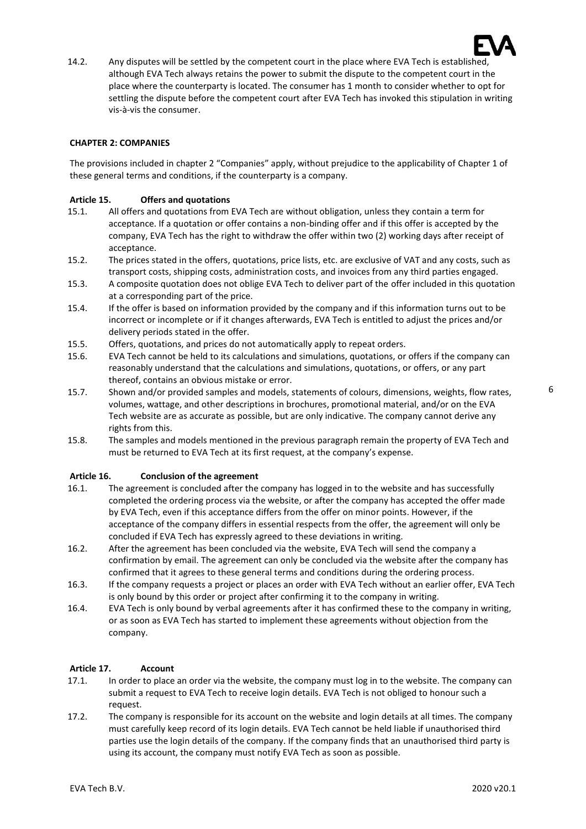

14.2. Any disputes will be settled by the competent court in the place where EVA Tech is established, although EVA Tech always retains the power to submit the dispute to the competent court in the place where the counterparty is located. The consumer has 1 month to consider whether to opt for settling the dispute before the competent court after EVA Tech has invoked this stipulation in writing vis-à-vis the consumer.

### **CHAPTER 2: COMPANIES**

The provisions included in chapter 2 "Companies" apply, without prejudice to the applicability of Chapter 1 of these general terms and conditions, if the counterparty is a company.

#### **Article 15. Offers and quotations**

- 15.1. All offers and quotations from EVA Tech are without obligation, unless they contain a term for acceptance. If a quotation or offer contains a non-binding offer and if this offer is accepted by the company, EVA Tech has the right to withdraw the offer within two (2) working days after receipt of acceptance.
- 15.2. The prices stated in the offers, quotations, price lists, etc. are exclusive of VAT and any costs, such as transport costs, shipping costs, administration costs, and invoices from any third parties engaged.
- 15.3. A composite quotation does not oblige EVA Tech to deliver part of the offer included in this quotation at a corresponding part of the price.
- 15.4. If the offer is based on information provided by the company and if this information turns out to be incorrect or incomplete or if it changes afterwards, EVA Tech is entitled to adjust the prices and/or delivery periods stated in the offer.
- 15.5. Offers, quotations, and prices do not automatically apply to repeat orders.
- 15.6. EVA Tech cannot be held to its calculations and simulations, quotations, or offers if the company can reasonably understand that the calculations and simulations, quotations, or offers, or any part thereof, contains an obvious mistake or error.
- 15.7. Shown and/or provided samples and models, statements of colours, dimensions, weights, flow rates, volumes, wattage, and other descriptions in brochures, promotional material, and/or on the EVA Tech website are as accurate as possible, but are only indicative. The company cannot derive any rights from this.
- 15.8. The samples and models mentioned in the previous paragraph remain the property of EVA Tech and must be returned to EVA Tech at its first request, at the company's expense.

#### **Article 16. Conclusion of the agreement**

- 16.1. The agreement is concluded after the company has logged in to the website and has successfully completed the ordering process via the website, or after the company has accepted the offer made by EVA Tech, even if this acceptance differs from the offer on minor points. However, if the acceptance of the company differs in essential respects from the offer, the agreement will only be concluded if EVA Tech has expressly agreed to these deviations in writing.
- 16.2. After the agreement has been concluded via the website, EVA Tech will send the company a confirmation by email. The agreement can only be concluded via the website after the company has confirmed that it agrees to these general terms and conditions during the ordering process.
- 16.3. If the company requests a project or places an order with EVA Tech without an earlier offer, EVA Tech is only bound by this order or project after confirming it to the company in writing.
- 16.4. EVA Tech is only bound by verbal agreements after it has confirmed these to the company in writing, or as soon as EVA Tech has started to implement these agreements without objection from the company.

#### **Article 17. Account**

- 17.1. In order to place an order via the website, the company must log in to the website. The company can submit a request to EVA Tech to receive login details. EVA Tech is not obliged to honour such a request.
- 17.2. The company is responsible for its account on the website and login details at all times. The company must carefully keep record of its login details. EVA Tech cannot be held liable if unauthorised third parties use the login details of the company. If the company finds that an unauthorised third party is using its account, the company must notify EVA Tech as soon as possible.

6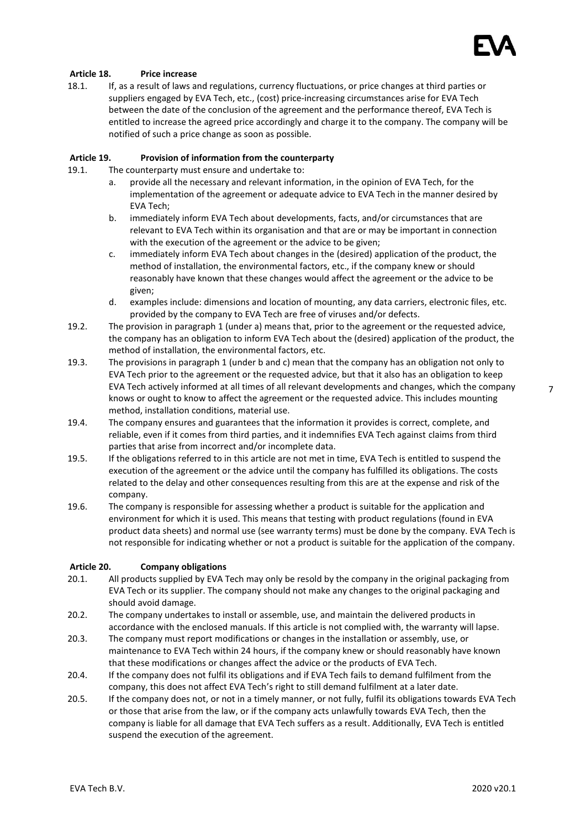

### **Article 18. Price increase**

18.1. If, as a result of laws and regulations, currency fluctuations, or price changes at third parties or suppliers engaged by EVA Tech, etc., (cost) price-increasing circumstances arise for EVA Tech between the date of the conclusion of the agreement and the performance thereof, EVA Tech is entitled to increase the agreed price accordingly and charge it to the company. The company will be notified of such a price change as soon as possible.

#### **Article 19. Provision of information from the counterparty**

19.1. The counterparty must ensure and undertake to:

- a. provide all the necessary and relevant information, in the opinion of EVA Tech, for the implementation of the agreement or adequate advice to EVA Tech in the manner desired by EVA Tech;
- b. immediately inform EVA Tech about developments, facts, and/or circumstances that are relevant to EVA Tech within its organisation and that are or may be important in connection with the execution of the agreement or the advice to be given;
- c. immediately inform EVA Tech about changes in the (desired) application of the product, the method of installation, the environmental factors, etc., if the company knew or should reasonably have known that these changes would affect the agreement or the advice to be given;
- d. examples include: dimensions and location of mounting, any data carriers, electronic files, etc. provided by the company to EVA Tech are free of viruses and/or defects.
- 19.2. The provision in paragraph 1 (under a) means that, prior to the agreement or the requested advice, the company has an obligation to inform EVA Tech about the (desired) application of the product, the method of installation, the environmental factors, etc.
- 19.3. The provisions in paragraph 1 (under b and c) mean that the company has an obligation not only to EVA Tech prior to the agreement or the requested advice, but that it also has an obligation to keep EVA Tech actively informed at all times of all relevant developments and changes, which the company knows or ought to know to affect the agreement or the requested advice. This includes mounting method, installation conditions, material use.
- 19.4. The company ensures and guarantees that the information it provides is correct, complete, and reliable, even if it comes from third parties, and it indemnifies EVA Tech against claims from third parties that arise from incorrect and/or incomplete data.
- 19.5. If the obligations referred to in this article are not met in time, EVA Tech is entitled to suspend the execution of the agreement or the advice until the company has fulfilled its obligations. The costs related to the delay and other consequences resulting from this are at the expense and risk of the company.
- 19.6. The company is responsible for assessing whether a product is suitable for the application and environment for which it is used. This means that testing with product regulations (found in EVA product data sheets) and normal use (see warranty terms) must be done by the company. EVA Tech is not responsible for indicating whether or not a product is suitable for the application of the company.

#### **Article 20. Company obligations**

- 20.1. All products supplied by EVA Tech may only be resold by the company in the original packaging from EVA Tech or its supplier. The company should not make any changes to the original packaging and should avoid damage.
- 20.2. The company undertakes to install or assemble, use, and maintain the delivered products in accordance with the enclosed manuals. If this article is not complied with, the warranty will lapse.
- 20.3. The company must report modifications or changes in the installation or assembly, use, or maintenance to EVA Tech within 24 hours, if the company knew or should reasonably have known that these modifications or changes affect the advice or the products of EVA Tech.
- 20.4. If the company does not fulfil its obligations and if EVA Tech fails to demand fulfilment from the company, this does not affect EVA Tech's right to still demand fulfilment at a later date.
- 20.5. If the company does not, or not in a timely manner, or not fully, fulfil its obligations towards EVA Tech or those that arise from the law, or if the company acts unlawfully towards EVA Tech, then the company is liable for all damage that EVA Tech suffers as a result. Additionally, EVA Tech is entitled suspend the execution of the agreement.

7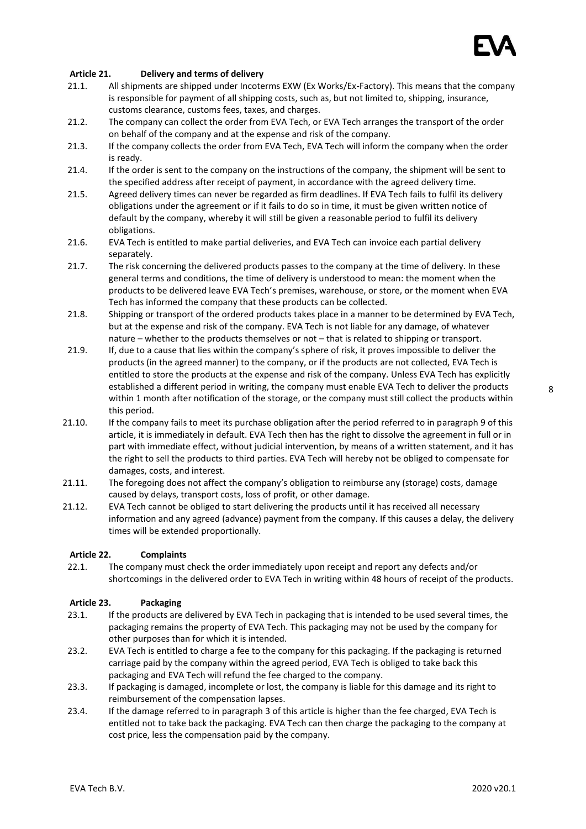

### **Article 21. Delivery and terms of delivery**

- 21.1. All shipments are shipped under Incoterms EXW (Ex Works/Ex-Factory). This means that the company is responsible for payment of all shipping costs, such as, but not limited to, shipping, insurance, customs clearance, customs fees, taxes, and charges.
- 21.2. The company can collect the order from EVA Tech, or EVA Tech arranges the transport of the order on behalf of the company and at the expense and risk of the company.
- 21.3. If the company collects the order from EVA Tech, EVA Tech will inform the company when the order is ready.
- 21.4. If the order is sent to the company on the instructions of the company, the shipment will be sent to the specified address after receipt of payment, in accordance with the agreed delivery time.
- 21.5. Agreed delivery times can never be regarded as firm deadlines. If EVA Tech fails to fulfil its delivery obligations under the agreement or if it fails to do so in time, it must be given written notice of default by the company, whereby it will still be given a reasonable period to fulfil its delivery obligations.
- 21.6. EVA Tech is entitled to make partial deliveries, and EVA Tech can invoice each partial delivery separately.
- 21.7. The risk concerning the delivered products passes to the company at the time of delivery. In these general terms and conditions, the time of delivery is understood to mean: the moment when the products to be delivered leave EVA Tech's premises, warehouse, or store, or the moment when EVA Tech has informed the company that these products can be collected.
- 21.8. Shipping or transport of the ordered products takes place in a manner to be determined by EVA Tech, but at the expense and risk of the company. EVA Tech is not liable for any damage, of whatever nature – whether to the products themselves or not – that is related to shipping or transport.
- 21.9. If, due to a cause that lies within the company's sphere of risk, it proves impossible to deliver the products (in the agreed manner) to the company, or if the products are not collected, EVA Tech is entitled to store the products at the expense and risk of the company. Unless EVA Tech has explicitly established a different period in writing, the company must enable EVA Tech to deliver the products within 1 month after notification of the storage, or the company must still collect the products within this period.
- 21.10. If the company fails to meet its purchase obligation after the period referred to in paragraph 9 of this article, it is immediately in default. EVA Tech then has the right to dissolve the agreement in full or in part with immediate effect, without judicial intervention, by means of a written statement, and it has the right to sell the products to third parties. EVA Tech will hereby not be obliged to compensate for damages, costs, and interest.
- 21.11. The foregoing does not affect the company's obligation to reimburse any (storage) costs, damage caused by delays, transport costs, loss of profit, or other damage.
- 21.12. EVA Tech cannot be obliged to start delivering the products until it has received all necessary information and any agreed (advance) payment from the company. If this causes a delay, the delivery times will be extended proportionally.

#### **Article 22. Complaints**

22.1. The company must check the order immediately upon receipt and report any defects and/or shortcomings in the delivered order to EVA Tech in writing within 48 hours of receipt of the products.

#### **Article 23. Packaging**

- 23.1. If the products are delivered by EVA Tech in packaging that is intended to be used several times, the packaging remains the property of EVA Tech. This packaging may not be used by the company for other purposes than for which it is intended.
- 23.2. EVA Tech is entitled to charge a fee to the company for this packaging. If the packaging is returned carriage paid by the company within the agreed period, EVA Tech is obliged to take back this packaging and EVA Tech will refund the fee charged to the company.
- 23.3. If packaging is damaged, incomplete or lost, the company is liable for this damage and its right to reimbursement of the compensation lapses.
- 23.4. If the damage referred to in paragraph 3 of this article is higher than the fee charged, EVA Tech is entitled not to take back the packaging. EVA Tech can then charge the packaging to the company at cost price, less the compensation paid by the company.

8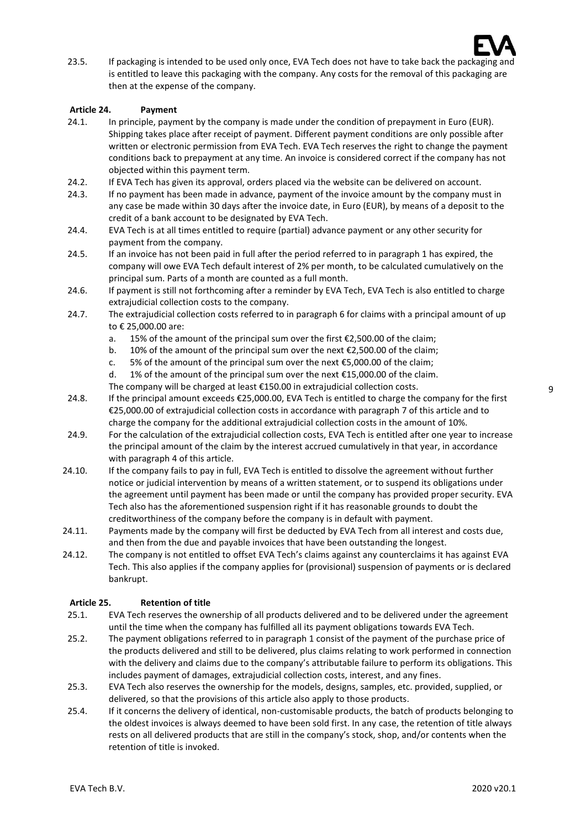

23.5. If packaging is intended to be used only once, EVA Tech does not have to take back the packaging and is entitled to leave this packaging with the company. Any costs for the removal of this packaging are then at the expense of the company.

### **Article 24. Payment**

- 24.1. In principle, payment by the company is made under the condition of prepayment in Euro (EUR). Shipping takes place after receipt of payment. Different payment conditions are only possible after written or electronic permission from EVA Tech. EVA Tech reserves the right to change the payment conditions back to prepayment at any time. An invoice is considered correct if the company has not objected within this payment term.
- 24.2. If EVA Tech has given its approval, orders placed via the website can be delivered on account.
- 24.3. If no payment has been made in advance, payment of the invoice amount by the company must in any case be made within 30 days after the invoice date, in Euro (EUR), by means of a deposit to the credit of a bank account to be designated by EVA Tech.
- 24.4. EVA Tech is at all times entitled to require (partial) advance payment or any other security for payment from the company.
- 24.5. If an invoice has not been paid in full after the period referred to in paragraph 1 has expired, the company will owe EVA Tech default interest of 2% per month, to be calculated cumulatively on the principal sum. Parts of a month are counted as a full month.
- 24.6. If payment is still not forthcoming after a reminder by EVA Tech, EVA Tech is also entitled to charge extrajudicial collection costs to the company.
- 24.7. The extrajudicial collection costs referred to in paragraph 6 for claims with a principal amount of up to € 25,000.00 are:
	- a. 15% of the amount of the principal sum over the first €2,500.00 of the claim;
	- b. 10% of the amount of the principal sum over the next  $\epsilon$ 2,500.00 of the claim;
	- c. 5% of the amount of the principal sum over the next  $\epsilon$ 5,000.00 of the claim;
	- d. 1% of the amount of the principal sum over the next €15,000.00 of the claim.
	- The company will be charged at least €150.00 in extrajudicial collection costs.
- 24.8. If the principal amount exceeds €25,000.00, EVA Tech is entitled to charge the company for the first €25,000.00 of extrajudicial collection costs in accordance with paragraph 7 of this article and to charge the company for the additional extrajudicial collection costs in the amount of 10%.
- 24.9. For the calculation of the extrajudicial collection costs, EVA Tech is entitled after one year to increase the principal amount of the claim by the interest accrued cumulatively in that year, in accordance with paragraph 4 of this article.
- 24.10. If the company fails to pay in full, EVA Tech is entitled to dissolve the agreement without further notice or judicial intervention by means of a written statement, or to suspend its obligations under the agreement until payment has been made or until the company has provided proper security. EVA Tech also has the aforementioned suspension right if it has reasonable grounds to doubt the creditworthiness of the company before the company is in default with payment.
- 24.11. Payments made by the company will first be deducted by EVA Tech from all interest and costs due, and then from the due and payable invoices that have been outstanding the longest.
- 24.12. The company is not entitled to offset EVA Tech's claims against any counterclaims it has against EVA Tech. This also applies if the company applies for (provisional) suspension of payments or is declared bankrupt.

## **Article 25. Retention of title**

- 25.1. EVA Tech reserves the ownership of all products delivered and to be delivered under the agreement until the time when the company has fulfilled all its payment obligations towards EVA Tech.
- 25.2. The payment obligations referred to in paragraph 1 consist of the payment of the purchase price of the products delivered and still to be delivered, plus claims relating to work performed in connection with the delivery and claims due to the company's attributable failure to perform its obligations. This includes payment of damages, extrajudicial collection costs, interest, and any fines.
- 25.3. EVA Tech also reserves the ownership for the models, designs, samples, etc. provided, supplied, or delivered, so that the provisions of this article also apply to those products.
- 25.4. If it concerns the delivery of identical, non-customisable products, the batch of products belonging to the oldest invoices is always deemed to have been sold first. In any case, the retention of title always rests on all delivered products that are still in the company's stock, shop, and/or contents when the retention of title is invoked.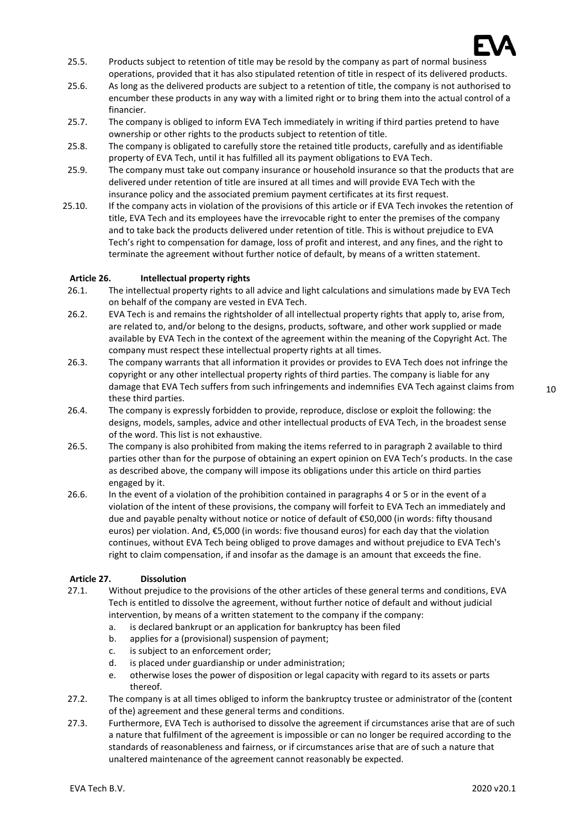

- 25.5. Products subject to retention of title may be resold by the company as part of normal business operations, provided that it has also stipulated retention of title in respect of its delivered products.
- 25.6. As long as the delivered products are subject to a retention of title, the company is not authorised to encumber these products in any way with a limited right or to bring them into the actual control of a financier.
- 25.7. The company is obliged to inform EVA Tech immediately in writing if third parties pretend to have ownership or other rights to the products subject to retention of title.
- 25.8. The company is obligated to carefully store the retained title products, carefully and as identifiable property of EVA Tech, until it has fulfilled all its payment obligations to EVA Tech.
- 25.9. The company must take out company insurance or household insurance so that the products that are delivered under retention of title are insured at all times and will provide EVA Tech with the insurance policy and the associated premium payment certificates at its first request.
- 25.10. If the company acts in violation of the provisions of this article or if EVA Tech invokes the retention of title, EVA Tech and its employees have the irrevocable right to enter the premises of the company and to take back the products delivered under retention of title. This is without prejudice to EVA Tech's right to compensation for damage, loss of profit and interest, and any fines, and the right to terminate the agreement without further notice of default, by means of a written statement.

#### **Article 26. Intellectual property rights**

- 26.1. The intellectual property rights to all advice and light calculations and simulations made by EVA Tech on behalf of the company are vested in EVA Tech.
- 26.2. EVA Tech is and remains the rightsholder of all intellectual property rights that apply to, arise from, are related to, and/or belong to the designs, products, software, and other work supplied or made available by EVA Tech in the context of the agreement within the meaning of the Copyright Act. The company must respect these intellectual property rights at all times.
- 26.3. The company warrants that all information it provides or provides to EVA Tech does not infringe the copyright or any other intellectual property rights of third parties. The company is liable for any damage that EVA Tech suffers from such infringements and indemnifies EVA Tech against claims from these third parties.
- 26.4. The company is expressly forbidden to provide, reproduce, disclose or exploit the following: the designs, models, samples, advice and other intellectual products of EVA Tech, in the broadest sense of the word. This list is not exhaustive.
- 26.5. The company is also prohibited from making the items referred to in paragraph 2 available to third parties other than for the purpose of obtaining an expert opinion on EVA Tech's products. In the case as described above, the company will impose its obligations under this article on third parties engaged by it.
- 26.6. In the event of a violation of the prohibition contained in paragraphs 4 or 5 or in the event of a violation of the intent of these provisions, the company will forfeit to EVA Tech an immediately and due and payable penalty without notice or notice of default of €50,000 (in words: fifty thousand euros) per violation. And, €5,000 (in words: five thousand euros) for each day that the violation continues, without EVA Tech being obliged to prove damages and without prejudice to EVA Tech's right to claim compensation, if and insofar as the damage is an amount that exceeds the fine.

#### **Article 27. Dissolution**

- 27.1. Without prejudice to the provisions of the other articles of these general terms and conditions, EVA Tech is entitled to dissolve the agreement, without further notice of default and without judicial intervention, by means of a written statement to the company if the company:
	- a. is declared bankrupt or an application for bankruptcy has been filed
	- b. applies for a (provisional) suspension of payment;
	- c. is subject to an enforcement order;
	- d. is placed under guardianship or under administration;
	- e. otherwise loses the power of disposition or legal capacity with regard to its assets or parts thereof.
- 27.2. The company is at all times obliged to inform the bankruptcy trustee or administrator of the (content of the) agreement and these general terms and conditions.
- 27.3. Furthermore, EVA Tech is authorised to dissolve the agreement if circumstances arise that are of such a nature that fulfilment of the agreement is impossible or can no longer be required according to the standards of reasonableness and fairness, or if circumstances arise that are of such a nature that unaltered maintenance of the agreement cannot reasonably be expected.